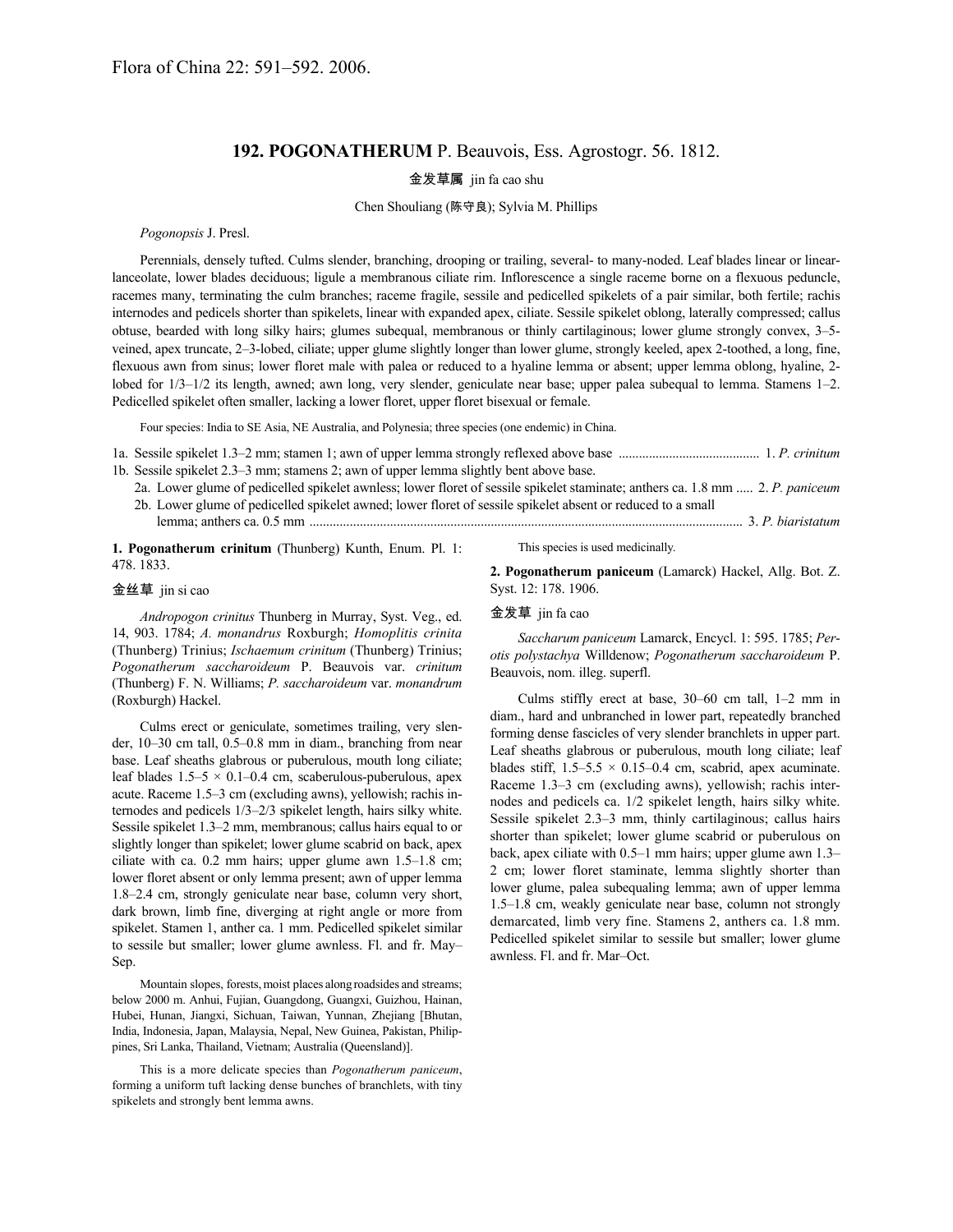## **192. POGONATHERUM** P. Beauvois, Ess. Agrostogr. 56. 1812.

# 金发草属 jin fa cao shu

## Chen Shouliang (陈守良); Sylvia M. Phillips

#### *Pogonopsis* J. Presl.

Perennials, densely tufted. Culms slender, branching, drooping or trailing, several- to many-noded. Leaf blades linear or linearlanceolate, lower blades deciduous; ligule a membranous ciliate rim. Inflorescence a single raceme borne on a flexuous peduncle, racemes many, terminating the culm branches; raceme fragile, sessile and pedicelled spikelets of a pair similar, both fertile; rachis internodes and pedicels shorter than spikelets, linear with expanded apex, ciliate. Sessile spikelet oblong, laterally compressed; callus obtuse, bearded with long silky hairs; glumes subequal, membranous or thinly cartilaginous; lower glume strongly convex, 3–5 veined, apex truncate, 2–3-lobed, ciliate; upper glume slightly longer than lower glume, strongly keeled, apex 2-toothed, a long, fine, flexuous awn from sinus; lower floret male with palea or reduced to a hyaline lemma or absent; upper lemma oblong, hyaline, 2 lobed for 1/3–1/2 its length, awned; awn long, very slender, geniculate near base; upper palea subequal to lemma. Stamens 1–2. Pedicelled spikelet often smaller, lacking a lower floret, upper floret bisexual or female.

Four species: India to SE Asia, NE Australia, and Polynesia; three species (one endemic) in China.

1a. Sessile spikelet 1.3–2 mm; stamen 1; awn of upper lemma strongly reflexed above base .......................................... 1. *P. crinitum* 1b. Sessile spikelet 2.3–3 mm; stamens 2; awn of upper lemma slightly bent above base.

2a. Lower glume of pedicelled spikelet awnless; lower floret of sessile spikelet staminate; anthers ca. 1.8 mm ..... 2. *P. paniceum* 2b. Lower glume of pedicelled spikelet awned; lower floret of sessile spikelet absent or reduced to a small

lemma; anthers ca. 0.5 mm ................................................................................................................................. 3. *P. biaristatum*

**1. Pogonatherum crinitum** (Thunberg) Kunth, Enum. Pl. 1: 478. 1833.

#### 金丝草 jin si cao

*Andropogon crinitus* Thunberg in Murray, Syst. Veg., ed. 14, 903. 1784; *A. monandrus* Roxburgh; *Homoplitis crinita* (Thunberg) Trinius; *Ischaemum crinitum* (Thunberg) Trinius; *Pogonatherum saccharoideum* P. Beauvois var. *crinitum* (Thunberg) F. N. Williams; *P. saccharoideum* var. *monandrum* (Roxburgh) Hackel.

Culms erect or geniculate, sometimes trailing, very slender, 10–30 cm tall, 0.5–0.8 mm in diam., branching from near base. Leaf sheaths glabrous or puberulous, mouth long ciliate; leaf blades  $1.5-5 \times 0.1-0.4$  cm, scaberulous-puberulous, apex acute. Raceme 1.5–3 cm (excluding awns), yellowish; rachis internodes and pedicels 1/3–2/3 spikelet length, hairs silky white. Sessile spikelet 1.3–2 mm, membranous; callus hairs equal to or slightly longer than spikelet; lower glume scabrid on back, apex ciliate with ca. 0.2 mm hairs; upper glume awn 1.5–1.8 cm; lower floret absent or only lemma present; awn of upper lemma 1.8–2.4 cm, strongly geniculate near base, column very short, dark brown, limb fine, diverging at right angle or more from spikelet. Stamen 1, anther ca. 1 mm. Pedicelled spikelet similar to sessile but smaller; lower glume awnless. Fl. and fr. May– Sep.

Mountain slopes, forests, moist places along roadsides and streams; below 2000 m. Anhui, Fujian, Guangdong, Guangxi, Guizhou, Hainan, Hubei, Hunan, Jiangxi, Sichuan, Taiwan, Yunnan, Zhejiang [Bhutan, India, Indonesia, Japan, Malaysia, Nepal, New Guinea, Pakistan, Philippines, Sri Lanka, Thailand, Vietnam; Australia (Queensland)].

This is a more delicate species than *Pogonatherum paniceum*, forming a uniform tuft lacking dense bunches of branchlets, with tiny spikelets and strongly bent lemma awns.

This species is used medicinally.

**2. Pogonatherum paniceum** (Lamarck) Hackel, Allg. Bot. Z. Syst. 12: 178. 1906.

## 金发草 jin fa cao

*Saccharum paniceum* Lamarck, Encycl. 1: 595. 1785; *Perotis polystachya* Willdenow; *Pogonatherum saccharoideum* P. Beauvois, nom. illeg. superfl.

Culms stiffly erect at base, 30–60 cm tall, 1–2 mm in diam., hard and unbranched in lower part, repeatedly branched forming dense fascicles of very slender branchlets in upper part. Leaf sheaths glabrous or puberulous, mouth long ciliate; leaf blades stiff,  $1.5-5.5 \times 0.15-0.4$  cm, scabrid, apex acuminate. Raceme 1.3–3 cm (excluding awns), yellowish; rachis internodes and pedicels ca. 1/2 spikelet length, hairs silky white. Sessile spikelet 2.3–3 mm, thinly cartilaginous; callus hairs shorter than spikelet; lower glume scabrid or puberulous on back, apex ciliate with 0.5–1 mm hairs; upper glume awn 1.3– 2 cm; lower floret staminate, lemma slightly shorter than lower glume, palea subequaling lemma; awn of upper lemma 1.5–1.8 cm, weakly geniculate near base, column not strongly demarcated, limb very fine. Stamens 2, anthers ca. 1.8 mm. Pedicelled spikelet similar to sessile but smaller; lower glume awnless. Fl. and fr. Mar–Oct.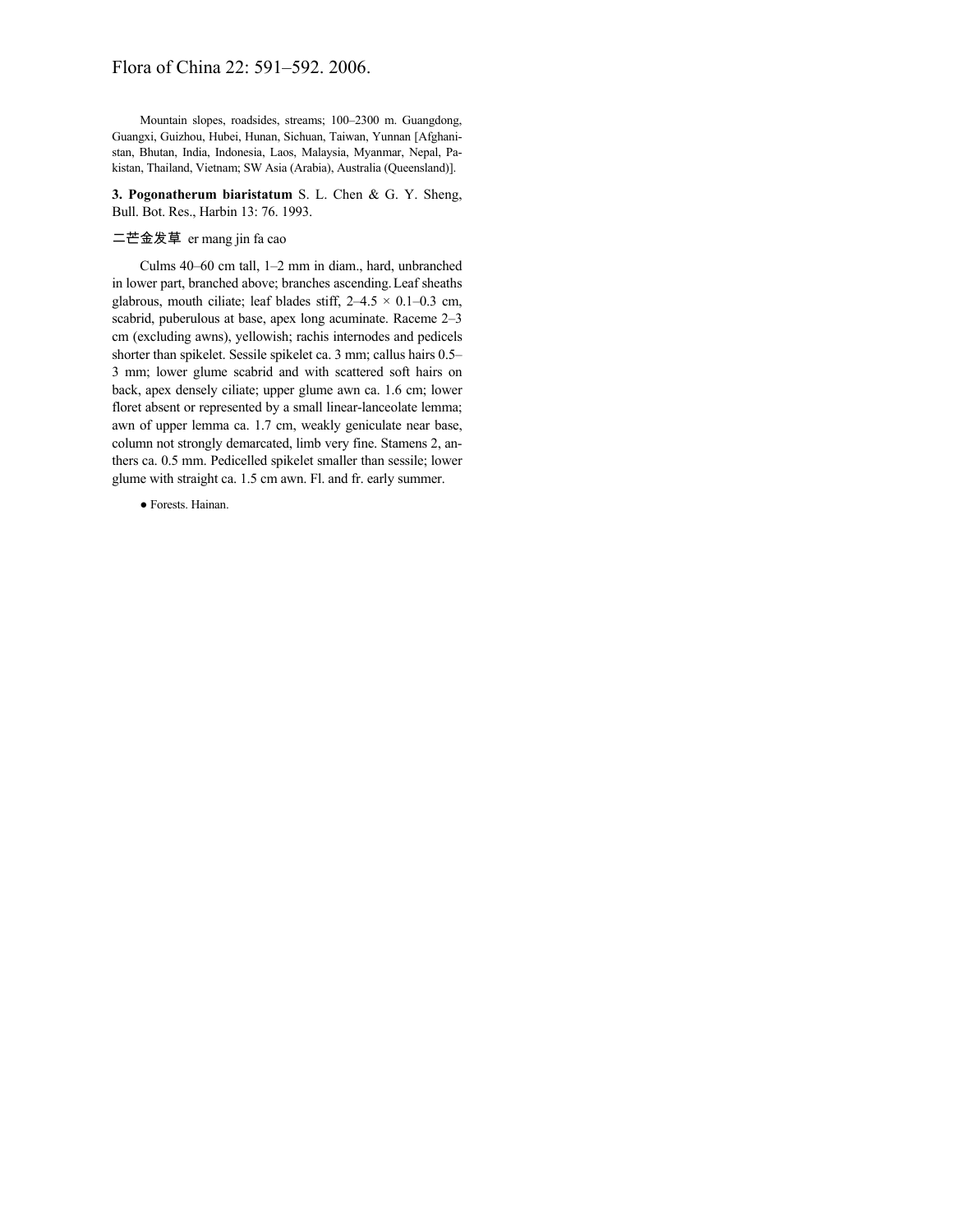# Flora of China 22: 591–592. 2006.

Mountain slopes, roadsides, streams; 100–2300 m. Guangdong, Guangxi, Guizhou, Hubei, Hunan, Sichuan, Taiwan, Yunnan [Afghanistan, Bhutan, India, Indonesia, Laos, Malaysia, Myanmar, Nepal, Pakistan, Thailand, Vietnam; SW Asia (Arabia), Australia (Queensland)].

**3. Pogonatherum biaristatum** S. L. Chen & G. Y. Sheng, Bull. Bot. Res., Harbin 13: 76. 1993.

## 二芒金发草 er mang jin fa cao

Culms 40–60 cm tall, 1–2 mm in diam., hard, unbranched in lower part, branched above; branches ascending.Leaf sheaths glabrous, mouth ciliate; leaf blades stiff,  $2-4.5 \times 0.1-0.3$  cm, scabrid, puberulous at base, apex long acuminate. Raceme 2–3 cm (excluding awns), yellowish; rachis internodes and pedicels shorter than spikelet. Sessile spikelet ca. 3 mm; callus hairs 0.5– 3 mm; lower glume scabrid and with scattered soft hairs on back, apex densely ciliate; upper glume awn ca. 1.6 cm; lower floret absent or represented by a small linear-lanceolate lemma; awn of upper lemma ca. 1.7 cm, weakly geniculate near base, column not strongly demarcated, limb very fine. Stamens 2, anthers ca. 0.5 mm. Pedicelled spikelet smaller than sessile; lower glume with straight ca. 1.5 cm awn. Fl. and fr. early summer.

● Forests. Hainan.